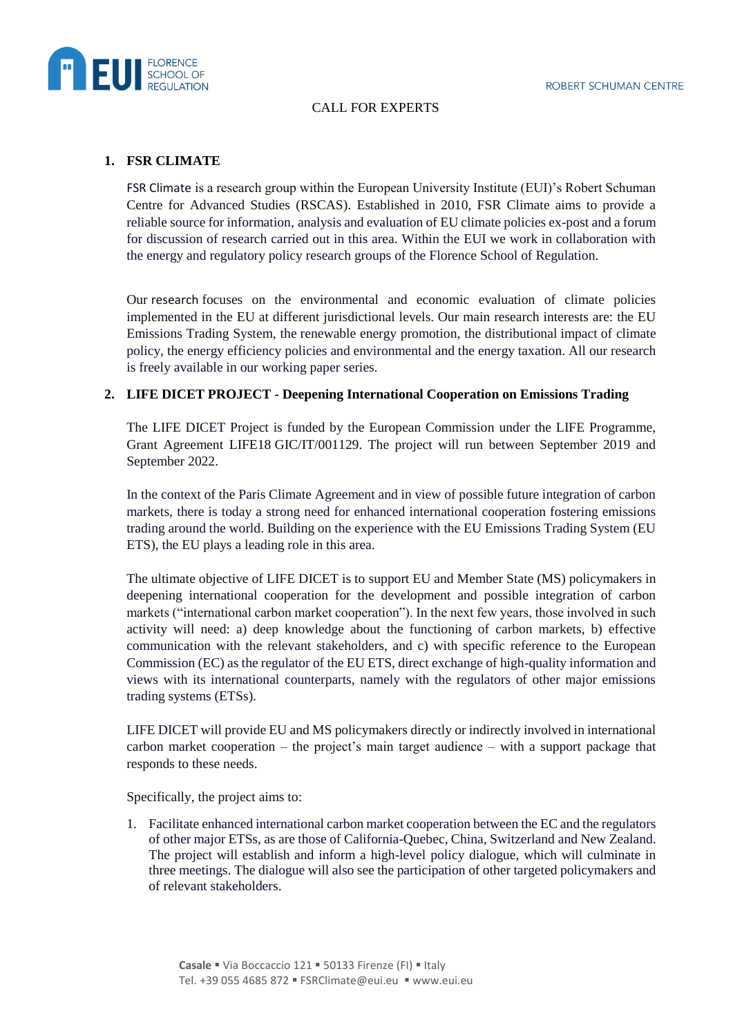

## CALL FOR EXPERTS

## **1. FSR CLIMATE**

FSR Climate is a research group within the European University Institute (EUI)'s Robert Schuman Centre for Advanced Studies (RSCAS). Established in 2010, FSR Climate aims to provide a reliable source for information, analysis and evaluation of EU climate policies ex-post and a forum for discussion of research carried out in this area. Within the EUI we work in collaboration with the energy and regulatory policy research groups of the Florence School of Regulation.

Our research focuses on the environmental and economic evaluation of climate policies implemented in the EU at different jurisdictional levels. Our main research interests are: the EU Emissions Trading System, the renewable energy promotion, the distributional impact of climate policy, the energy efficiency policies and environmental and the energy taxation. All our research is freely available in our working paper series.

## **2. LIFE DICET PROJECT - Deepening International Cooperation on Emissions Trading**

The LIFE DICET Project is funded by the European Commission under the LIFE Programme, Grant Agreement LIFE18 GIC/IT/001129. The project will run between September 2019 and September 2022.

In the context of the Paris Climate Agreement and in view of possible future integration of carbon markets, there is today a strong need for enhanced international cooperation fostering emissions trading around the world. Building on the experience with the EU Emissions Trading System (EU ETS), the EU plays a leading role in this area.

The ultimate objective of LIFE DICET is to support EU and Member State (MS) policymakers in deepening international cooperation for the development and possible integration of carbon markets ("international carbon market cooperation"). In the next few years, those involved in such activity will need: a) deep knowledge about the functioning of carbon markets, b) effective communication with the relevant stakeholders, and c) with specific reference to the European Commission (EC) as the regulator of the EU ETS, direct exchange of high-quality information and views with its international counterparts, namely with the regulators of other major emissions trading systems (ETSs).

LIFE DICET will provide EU and MS policymakers directly or indirectly involved in international carbon market cooperation – the project's main target audience – with a support package that responds to these needs.

Specifically, the project aims to:

1. Facilitate enhanced international carbon market cooperation between the EC and the regulators of other major ETSs, as are those of California-Quebec, China, Switzerland and New Zealand. The project will establish and inform a high-level policy dialogue, which will culminate in three meetings. The dialogue will also see the participation of other targeted policymakers and of relevant stakeholders.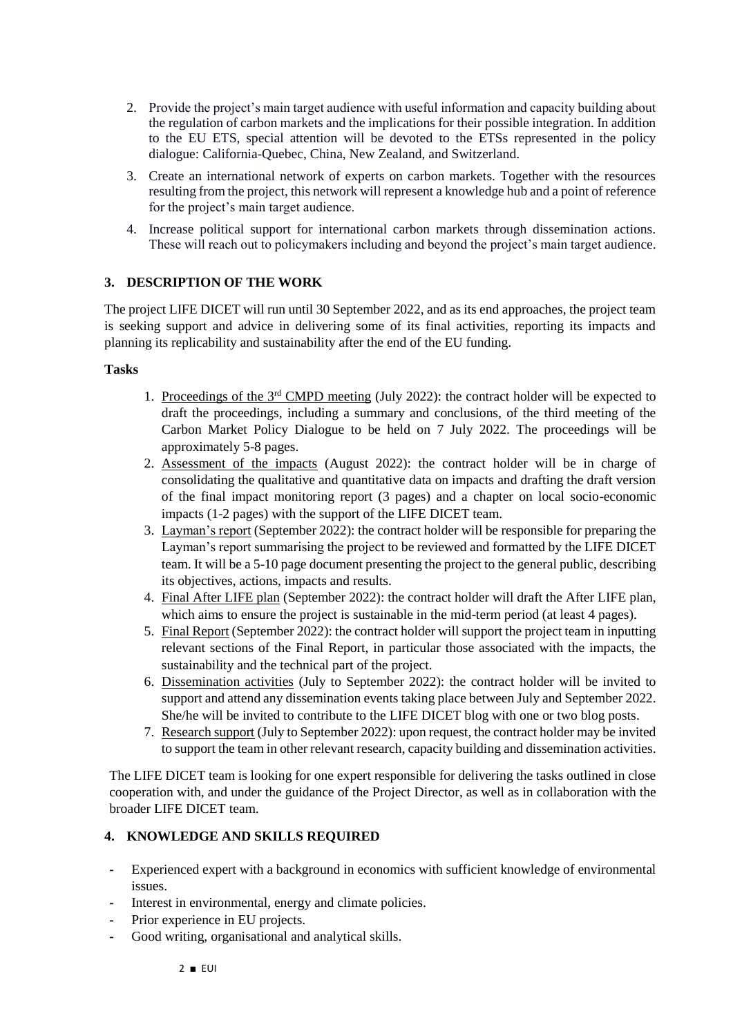- 2. Provide the project's main target audience with useful information and capacity building about the regulation of carbon markets and the implications for their possible integration. In addition to the EU ETS, special attention will be devoted to the ETSs represented in the policy dialogue: California-Quebec, China, New Zealand, and Switzerland.
- 3. Create an international network of experts on carbon markets. Together with the resources resulting from the project, this network will represent a knowledge hub and a point of reference for the project's main target audience.
- 4. Increase political support for international carbon markets through dissemination actions. These will reach out to policymakers including and beyond the project's main target audience.

## **3. DESCRIPTION OF THE WORK**

The project LIFE DICET will run until 30 September 2022, and as its end approaches, the project team is seeking support and advice in delivering some of its final activities, reporting its impacts and planning its replicability and sustainability after the end of the EU funding.

#### **Tasks**

- 1. Proceedings of the 3rd CMPD meeting (July 2022): the contract holder will be expected to draft the proceedings, including a summary and conclusions, of the third meeting of the Carbon Market Policy Dialogue to be held on 7 July 2022. The proceedings will be approximately 5-8 pages.
- 2. Assessment of the impacts (August 2022): the contract holder will be in charge of consolidating the qualitative and quantitative data on impacts and drafting the draft version of the final impact monitoring report (3 pages) and a chapter on local socio-economic impacts (1-2 pages) with the support of the LIFE DICET team.
- 3. Layman's report (September 2022): the contract holder will be responsible for preparing the Layman's report summarising the project to be reviewed and formatted by the LIFE DICET team. It will be a 5-10 page document presenting the project to the general public, describing its objectives, actions, impacts and results.
- 4. Final After LIFE plan (September 2022): the contract holder will draft the After LIFE plan, which aims to ensure the project is sustainable in the mid-term period (at least 4 pages).
- 5. Final Report (September 2022): the contract holder will support the project team in inputting relevant sections of the Final Report, in particular those associated with the impacts, the sustainability and the technical part of the project.
- 6. Dissemination activities (July to September 2022): the contract holder will be invited to support and attend any dissemination events taking place between July and September 2022. She/he will be invited to contribute to the LIFE DICET blog with one or two blog posts.
- 7. Research support (July to September 2022): upon request, the contract holder may be invited to support the team in other relevant research, capacity building and dissemination activities.

The LIFE DICET team is looking for one expert responsible for delivering the tasks outlined in close cooperation with, and under the guidance of the Project Director, as well as in collaboration with the broader LIFE DICET team.

#### **4. KNOWLEDGE AND SKILLS REQUIRED**

- **-** Experienced expert with a background in economics with sufficient knowledge of environmental issues.
- **-** Interest in environmental, energy and climate policies.
- **-** Prior experience in EU projects.
- **-** Good writing, organisational and analytical skills.